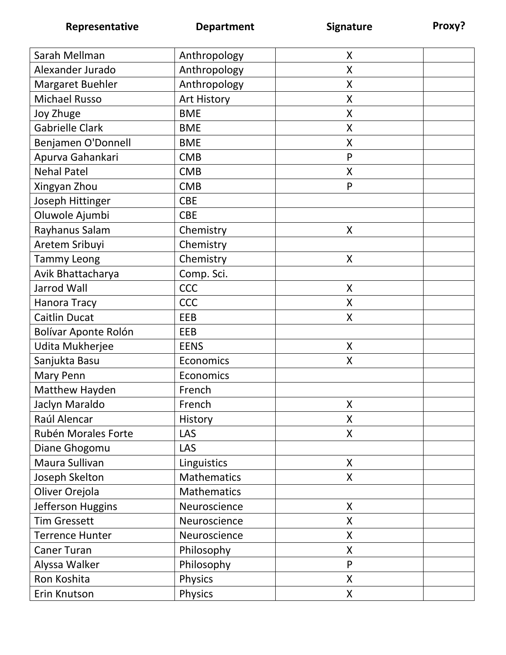| Sarah Mellman          | Anthropology   | X                  |
|------------------------|----------------|--------------------|
| Alexander Jurado       | Anthropology   | X                  |
| Margaret Buehler       | Anthropology   | X                  |
| <b>Michael Russo</b>   | Art History    | X                  |
| Joy Zhuge              | <b>BME</b>     | X                  |
| <b>Gabrielle Clark</b> | <b>BME</b>     | X                  |
| Benjamen O'Donnell     | <b>BME</b>     | X                  |
| Apurva Gahankari       | <b>CMB</b>     | P                  |
| <b>Nehal Patel</b>     | <b>CMB</b>     | X                  |
| Xingyan Zhou           | <b>CMB</b>     | P                  |
| Joseph Hittinger       | <b>CBE</b>     |                    |
| Oluwole Ajumbi         | <b>CBE</b>     |                    |
| Rayhanus Salam         | Chemistry      | X                  |
| Aretem Sribuyi         | Chemistry      |                    |
| <b>Tammy Leong</b>     | Chemistry      | X                  |
| Avik Bhattacharya      | Comp. Sci.     |                    |
| <b>Jarrod Wall</b>     | <b>CCC</b>     | X                  |
| Hanora Tracy           | <b>CCC</b>     | X                  |
| <b>Caitlin Ducat</b>   | EEB            | X                  |
| Bolívar Aponte Rolón   | EEB            |                    |
| Udita Mukherjee        | <b>EENS</b>    | X                  |
| Sanjukta Basu          | Economics      | X                  |
| Mary Penn              | Economics      |                    |
| Matthew Hayden         | French         |                    |
| Jaclyn Maraldo         | French         | X                  |
| Raúl Alencar           | History        | X                  |
| Rubén Morales Forte    | LAS            | X                  |
| Diane Ghogomu          | <b>LAS</b>     |                    |
| Maura Sullivan         | Linguistics    | X                  |
| Joseph Skelton         | Mathematics    | X                  |
| Oliver Orejola         | Mathematics    |                    |
| Jefferson Huggins      | Neuroscience   | X                  |
| <b>Tim Gressett</b>    | Neuroscience   | X                  |
| <b>Terrence Hunter</b> | Neuroscience   | X                  |
| <b>Caner Turan</b>     | Philosophy     | X                  |
| Alyssa Walker          | Philosophy     | P                  |
| Ron Koshita            | <b>Physics</b> | $\pmb{\mathsf{X}}$ |
| Erin Knutson           | Physics        | $\pmb{\mathsf{X}}$ |